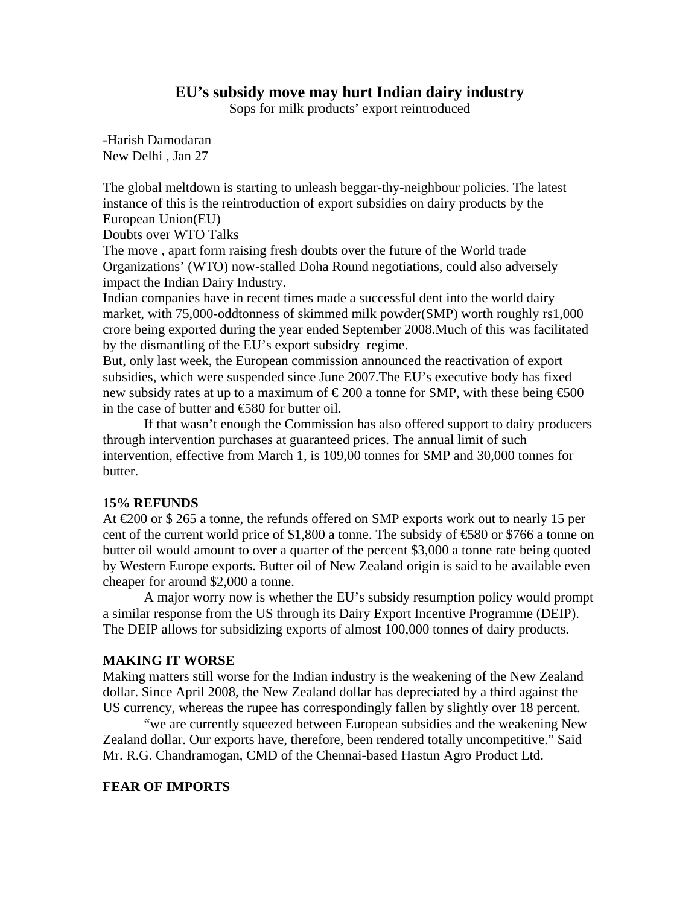# **EU's subsidy move may hurt Indian dairy industry**

Sops for milk products' export reintroduced

-Harish Damodaran New Delhi , Jan 27

The global meltdown is starting to unleash beggar-thy-neighbour policies. The latest instance of this is the reintroduction of export subsidies on dairy products by the European Union(EU)

Doubts over WTO Talks

The move , apart form raising fresh doubts over the future of the World trade Organizations' (WTO) now-stalled Doha Round negotiations, could also adversely impact the Indian Dairy Industry.

Indian companies have in recent times made a successful dent into the world dairy market, with 75,000-oddtonness of skimmed milk powder(SMP) worth roughly rs1,000 crore being exported during the year ended September 2008.Much of this was facilitated by the dismantling of the EU's export subsidry regime.

But, only last week, the European commission announced the reactivation of export subsidies, which were suspended since June 2007.The EU's executive body has fixed new subsidy rates at up to a maximum of  $\epsilon$ 200 a tonne for SMP, with these being  $\epsilon$ 500 in the case of butter and €580 for butter oil.

 If that wasn't enough the Commission has also offered support to dairy producers through intervention purchases at guaranteed prices. The annual limit of such intervention, effective from March 1, is 109,00 tonnes for SMP and 30,000 tonnes for butter.

# **15% REFUNDS**

At  $\text{\textsterling}200$  or \$265 a tonne, the refunds offered on SMP exports work out to nearly 15 per cent of the current world price of \$1,800 a tonne. The subsidy of  $\text{\textsterling}80$  or \$766 a tonne on butter oil would amount to over a quarter of the percent \$3,000 a tonne rate being quoted by Western Europe exports. Butter oil of New Zealand origin is said to be available even cheaper for around \$2,000 a tonne.

 A major worry now is whether the EU's subsidy resumption policy would prompt a similar response from the US through its Dairy Export Incentive Programme (DEIP). The DEIP allows for subsidizing exports of almost 100,000 tonnes of dairy products.

# **MAKING IT WORSE**

Making matters still worse for the Indian industry is the weakening of the New Zealand dollar. Since April 2008, the New Zealand dollar has depreciated by a third against the US currency, whereas the rupee has correspondingly fallen by slightly over 18 percent.

 "we are currently squeezed between European subsidies and the weakening New Zealand dollar. Our exports have, therefore, been rendered totally uncompetitive." Said Mr. R.G. Chandramogan, CMD of the Chennai-based Hastun Agro Product Ltd.

# **FEAR OF IMPORTS**